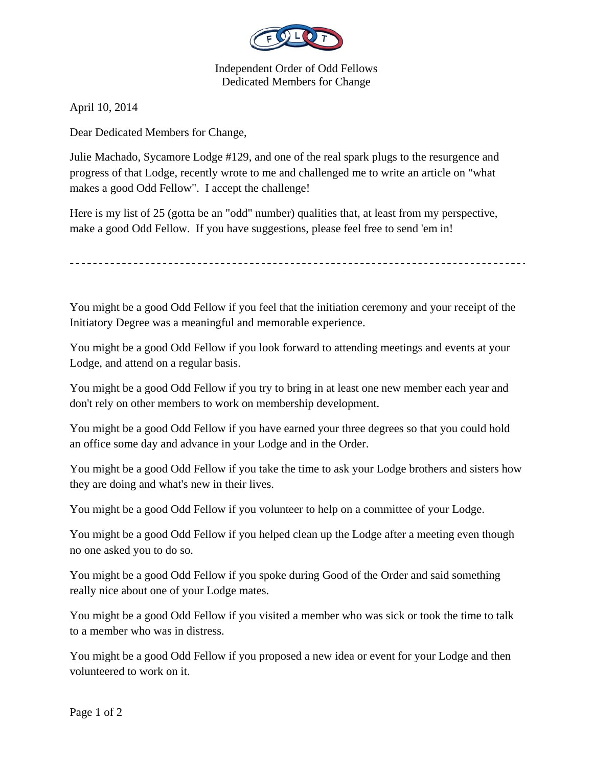

Independent Order of Odd Fellows Dedicated Members for Change

April 10, 2014

Dear Dedicated Members for Change,

Julie Machado, Sycamore Lodge #129, and one of the real spark plugs to the resurgence and progress of that Lodge, recently wrote to me and challenged me to write an article on "what makes a good Odd Fellow". I accept the challenge!

Here is my list of 25 (gotta be an "odd" number) qualities that, at least from my perspective, make a good Odd Fellow. If you have suggestions, please feel free to send 'em in!

You might be a good Odd Fellow if you feel that the initiation ceremony and your receipt of the Initiatory Degree was a meaningful and memorable experience.

You might be a good Odd Fellow if you look forward to attending meetings and events at your Lodge, and attend on a regular basis.

You might be a good Odd Fellow if you try to bring in at least one new member each year and don't rely on other members to work on membership development.

You might be a good Odd Fellow if you have earned your three degrees so that you could hold an office some day and advance in your Lodge and in the Order.

You might be a good Odd Fellow if you take the time to ask your Lodge brothers and sisters how they are doing and what's new in their lives.

You might be a good Odd Fellow if you volunteer to help on a committee of your Lodge.

You might be a good Odd Fellow if you helped clean up the Lodge after a meeting even though no one asked you to do so.

You might be a good Odd Fellow if you spoke during Good of the Order and said something really nice about one of your Lodge mates.

You might be a good Odd Fellow if you visited a member who was sick or took the time to talk to a member who was in distress.

You might be a good Odd Fellow if you proposed a new idea or event for your Lodge and then volunteered to work on it.